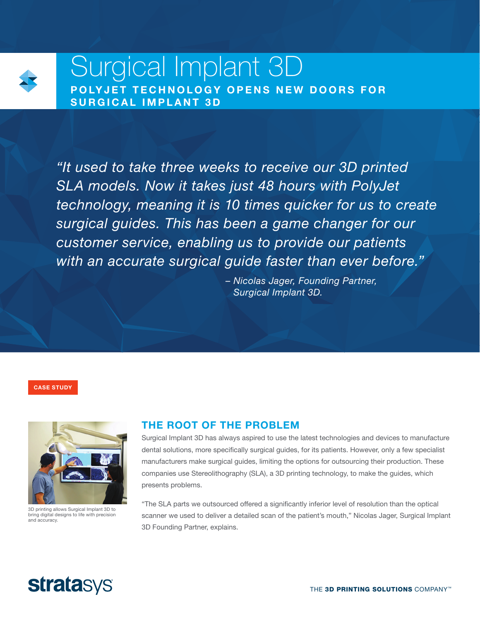

# Surgical Implant 3D POLYJET TECHNOLOGY OPENS NEW DOORS FOR SURGICAL IMPLANT 3D

*"It used to take three weeks to receive our 3D printed SLA models. Now it takes just 48 hours with PolyJet technology, meaning it is 10 times quicker for us to create surgical guides. This has been a game changer for our customer service, enabling us to provide our patients with an accurate surgical guide faster than ever before."* 

> *– Nicolas Jager, Founding Partner, Surgical Implant 3D.*

CASE STUDY



3D printing allows Surgical Implant 3D to bring digital designs to life with precision and accuracy.

## THE ROOT OF THE PROBLEM

Surgical Implant 3D has always aspired to use the latest technologies and devices to manufacture dental solutions, more specifically surgical guides, for its patients. However, only a few specialist manufacturers make surgical guides, limiting the options for outsourcing their production. These companies use Stereolithography (SLA), a 3D printing technology, to make the guides, which presents problems.

"The SLA parts we outsourced offered a significantly inferior level of resolution than the optical scanner we used to deliver a detailed scan of the patient's mouth," Nicolas Jager, Surgical Implant 3D Founding Partner, explains.